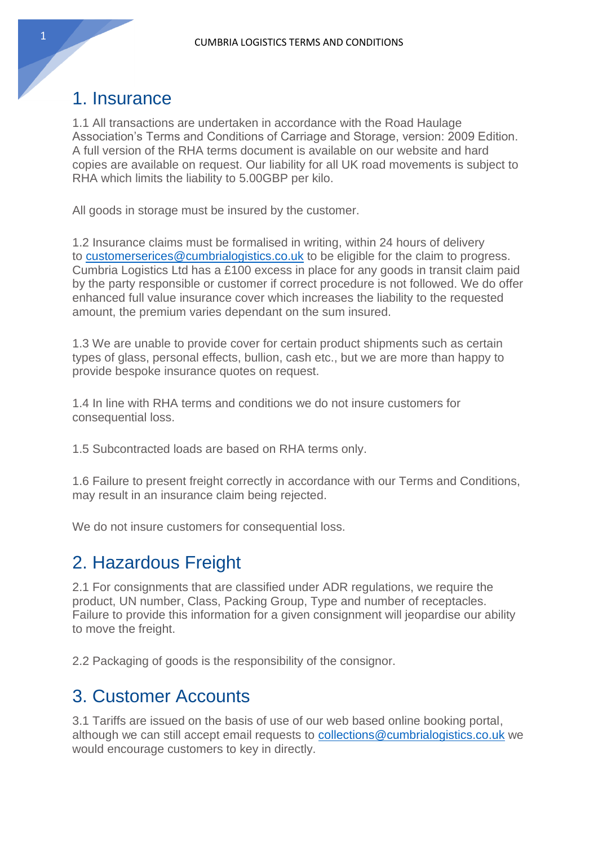### 1. Insurance

1.1 All transactions are undertaken in accordance with the Road Haulage Association's Terms and Conditions of Carriage and Storage, version: 2009 Edition. A full version of the RHA terms document is available on our website and hard copies are available on request. Our liability for all UK road movements is subject to RHA which limits the liability to 5.00GBP per kilo.

All goods in storage must be insured by the customer.

1.2 Insurance claims must be formalised in writing, within 24 hours of delivery to [customerserices@cumbrialogistics.co.uk](mailto:customerserices@cumbrialogistics.co.uk) to be eligible for the claim to progress. Cumbria Logistics Ltd has a £100 excess in place for any goods in transit claim paid by the party responsible or customer if correct procedure is not followed. We do offer enhanced full value insurance cover which increases the liability to the requested amount, the premium varies dependant on the sum insured.

1.3 We are unable to provide cover for certain product shipments such as certain types of glass, personal effects, bullion, cash etc., but we are more than happy to provide bespoke insurance quotes on request.

1.4 In line with RHA terms and conditions we do not insure customers for consequential loss.

1.5 Subcontracted loads are based on RHA terms only.

1.6 Failure to present freight correctly in accordance with our Terms and Conditions, may result in an insurance claim being rejected.

We do not insure customers for consequential loss.

### 2. Hazardous Freight

2.1 For consignments that are classified under ADR regulations, we require the product, UN number, Class, Packing Group, Type and number of receptacles. Failure to provide this information for a given consignment will jeopardise our ability to move the freight.

2.2 Packaging of goods is the responsibility of the consignor.

### 3. Customer Accounts

3.1 Tariffs are issued on the basis of use of our web based online booking portal, although we can still accept email requests to [collections@cumbrialogistics.co.uk](mailto:collections@cumbrialogistics.co.uk) we would encourage customers to key in directly.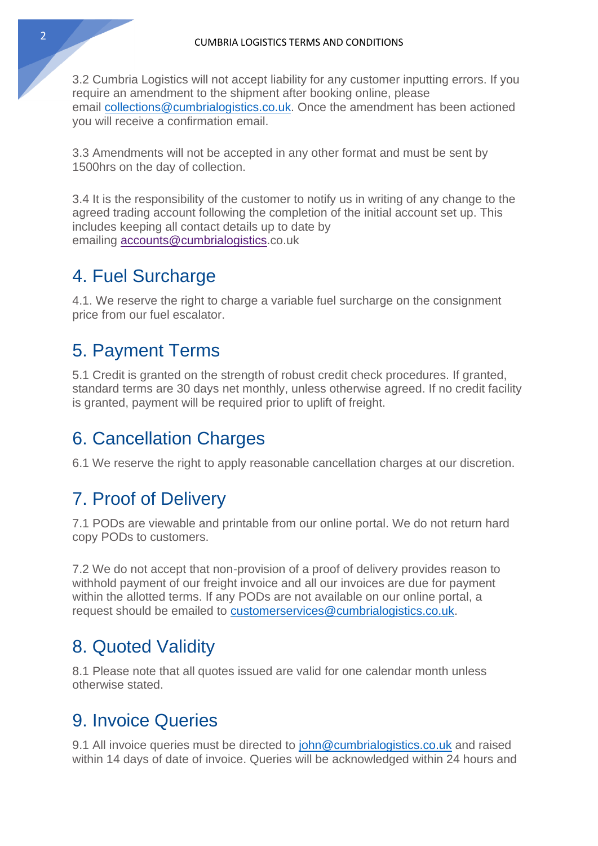3.2 Cumbria Logistics will not accept liability for any customer inputting errors. If you require an amendment to the shipment after booking online, please email [collections@cumbrialogistics.co.uk.](mailto:collections@cumbrialogistics.co.uk) Once the amendment has been actioned you will receive a confirmation email.

3.3 Amendments will not be accepted in any other format and must be sent by 1500hrs on the day of collection.

3.4 It is the responsibility of the customer to notify us in writing of any change to the agreed trading account following the completion of the initial account set up. This includes keeping all contact details up to date by emailing accounts@cumbrialogistics.co.uk

### 4. Fuel Surcharge

4.1. We reserve the right to charge a variable fuel surcharge on the consignment price from our fuel escalator.

# 5. Payment Terms

5.1 Credit is granted on the strength of robust credit check procedures. If granted, standard terms are 30 days net monthly, unless otherwise agreed. If no credit facility is granted, payment will be required prior to uplift of freight.

# 6. Cancellation Charges

6.1 We reserve the right to apply reasonable cancellation charges at our discretion.

# 7. Proof of Delivery

7.1 PODs are viewable and printable from our online portal. We do not return hard copy PODs to customers.

7.2 We do not accept that non-provision of a proof of delivery provides reason to withhold payment of our freight invoice and all our invoices are due for payment within the allotted terms. If any PODs are not available on our online portal, a request should be emailed to [customerservices@cumbrialogistics.co.uk.](mailto:customerservices@cumbrialogistics.co.uk)

# 8. Quoted Validity

8.1 Please note that all quotes issued are valid for one calendar month unless otherwise stated.

# 9. Invoice Queries

9.1 All invoice queries must be directed to [john@cumbrialogistics.co.uk](mailto:john@cumbrialogistics.co.uk) and raised within 14 days of date of invoice. Queries will be acknowledged within 24 hours and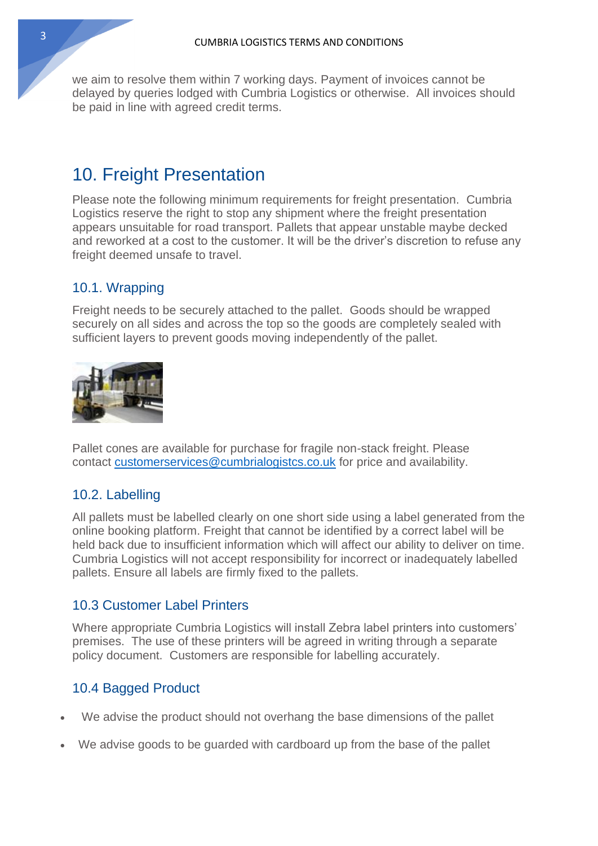we aim to resolve them within 7 working days. Payment of invoices cannot be delayed by queries lodged with Cumbria Logistics or otherwise. All invoices should be paid in line with agreed credit terms.

### 10. Freight Presentation

Please note the following minimum requirements for freight presentation. Cumbria Logistics reserve the right to stop any shipment where the freight presentation appears unsuitable for road transport. Pallets that appear unstable maybe decked and reworked at a cost to the customer. It will be the driver's discretion to refuse any freight deemed unsafe to travel.

### 10.1. Wrapping

Freight needs to be securely attached to the pallet. Goods should be wrapped securely on all sides and across the top so the goods are completely sealed with sufficient layers to prevent goods moving independently of the pallet.



Pallet cones are available for purchase for fragile non-stack freight. Please contact [customerservices@cumbrialogistcs.co.uk](mailto:customerservices@cumbrialogistcs.co.uk) for price and availability.

#### 10.2. Labelling

All pallets must be labelled clearly on one short side using a label generated from the online booking platform. Freight that cannot be identified by a correct label will be held back due to insufficient information which will affect our ability to deliver on time. Cumbria Logistics will not accept responsibility for incorrect or inadequately labelled pallets. Ensure all labels are firmly fixed to the pallets.

#### 10.3 Customer Label Printers

Where appropriate Cumbria Logistics will install Zebra label printers into customers' premises. The use of these printers will be agreed in writing through a separate policy document. Customers are responsible for labelling accurately.

#### 10.4 Bagged Product

- We advise the product should not overhang the base dimensions of the pallet
- We advise goods to be guarded with cardboard up from the base of the pallet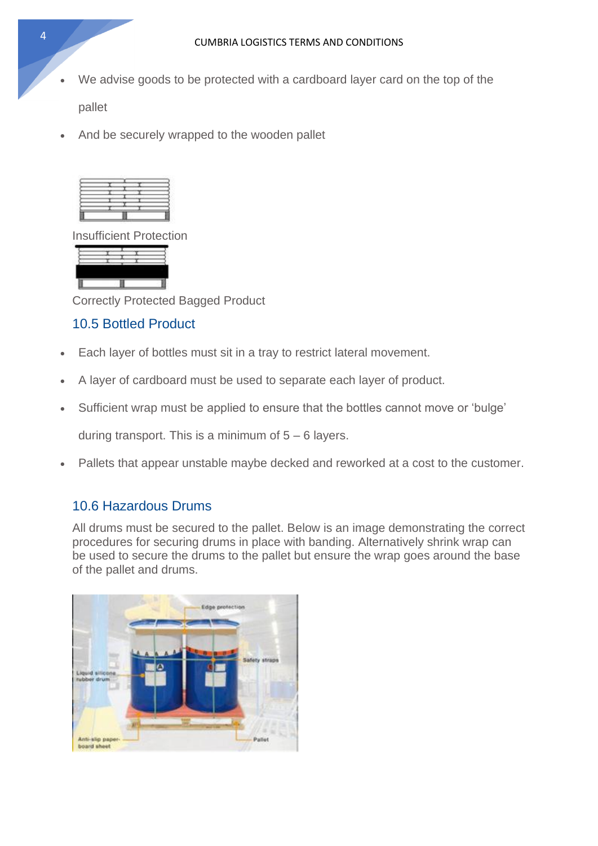We advise goods to be protected with a cardboard layer card on the top of the

pallet

• And be securely wrapped to the wooden pallet



Insufficient Protection



Correctly Protected Bagged Product

#### 10.5 Bottled Product

- Each layer of bottles must sit in a tray to restrict lateral movement.
- A layer of cardboard must be used to separate each layer of product.
- Sufficient wrap must be applied to ensure that the bottles cannot move or 'bulge'

during transport. This is a minimum of  $5 - 6$  layers.

• Pallets that appear unstable maybe decked and reworked at a cost to the customer.

#### 10.6 Hazardous Drums

All drums must be secured to the pallet. Below is an image demonstrating the correct procedures for securing drums in place with banding. Alternatively shrink wrap can be used to secure the drums to the pallet but ensure the wrap goes around the base of the pallet and drums.

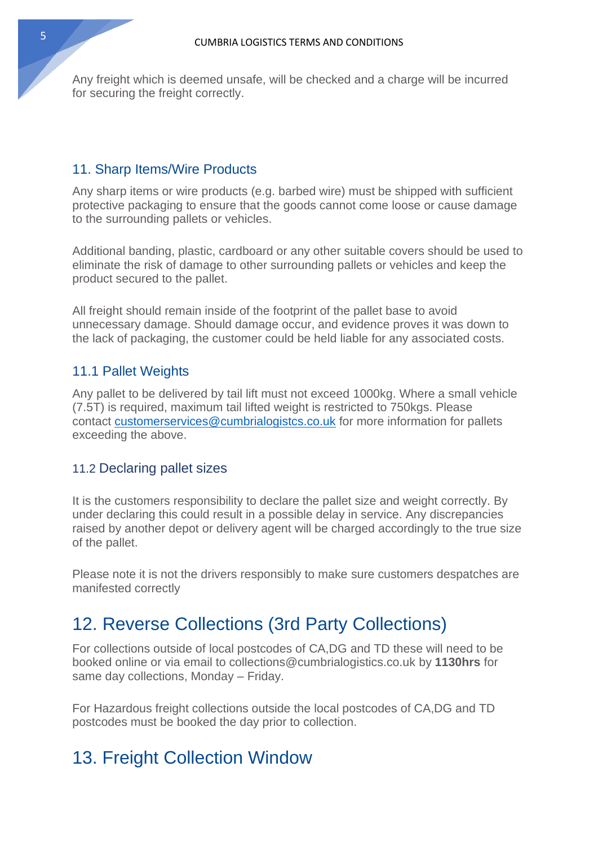Any freight which is deemed unsafe, will be checked and a charge will be incurred for securing the freight correctly.

#### 11. Sharp Items/Wire Products

Any sharp items or wire products (e.g. barbed wire) must be shipped with sufficient protective packaging to ensure that the goods cannot come loose or cause damage to the surrounding pallets or vehicles.

Additional banding, plastic, cardboard or any other suitable covers should be used to eliminate the risk of damage to other surrounding pallets or vehicles and keep the product secured to the pallet.

All freight should remain inside of the footprint of the pallet base to avoid unnecessary damage. Should damage occur, and evidence proves it was down to the lack of packaging, the customer could be held liable for any associated costs.

#### 11.1 Pallet Weights

Any pallet to be delivered by tail lift must not exceed 1000kg. Where a small vehicle (7.5T) is required, maximum tail lifted weight is restricted to 750kgs. Please contact [customerservices@cumbrialogistcs.co.uk](mailto:customerservices@cumbrialogistcs.co.uk) for more information for pallets exceeding the above.

#### 11.2 Declaring pallet sizes

It is the customers responsibility to declare the pallet size and weight correctly. By under declaring this could result in a possible delay in service. Any discrepancies raised by another depot or delivery agent will be charged accordingly to the true size of the pallet.

Please note it is not the drivers responsibly to make sure customers despatches are manifested correctly

### 12. Reverse Collections (3rd Party Collections)

For collections outside of local postcodes of CA,DG and TD these will need to be booked online or via email to collections@cumbrialogistics.co.uk by **1130hrs** for same day collections, Monday – Friday.

For Hazardous freight collections outside the local postcodes of CA,DG and TD postcodes must be booked the day prior to collection.

# 13. Freight Collection Window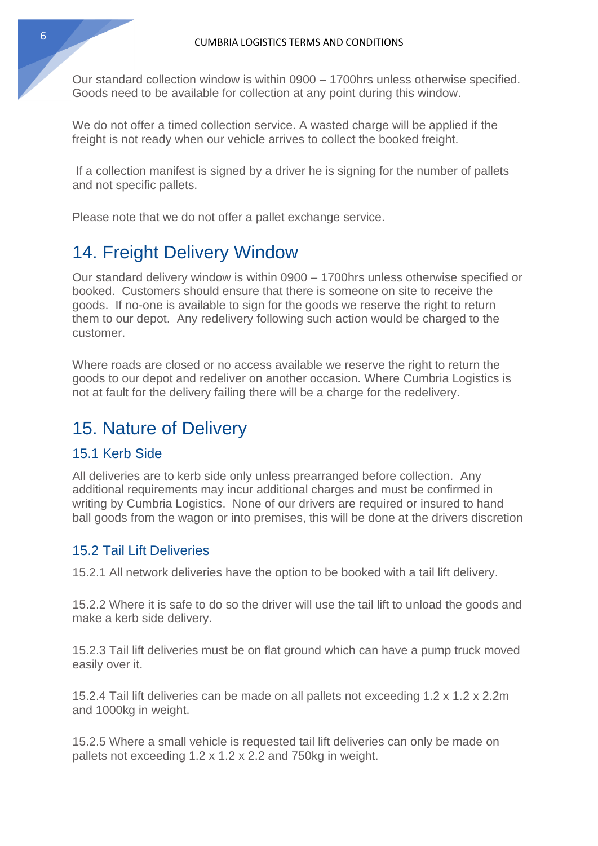Our standard collection window is within 0900 – 1700hrs unless otherwise specified. Goods need to be available for collection at any point during this window.

We do not offer a timed collection service. A wasted charge will be applied if the freight is not ready when our vehicle arrives to collect the booked freight.

If a collection manifest is signed by a driver he is signing for the number of pallets and not specific pallets.

Please note that we do not offer a pallet exchange service.

### 14. Freight Delivery Window

Our standard delivery window is within 0900 – 1700hrs unless otherwise specified or booked. Customers should ensure that there is someone on site to receive the goods. If no-one is available to sign for the goods we reserve the right to return them to our depot. Any redelivery following such action would be charged to the customer.

Where roads are closed or no access available we reserve the right to return the goods to our depot and redeliver on another occasion. Where Cumbria Logistics is not at fault for the delivery failing there will be a charge for the redelivery.

### 15. Nature of Delivery

#### 15.1 Kerb Side

All deliveries are to kerb side only unless prearranged before collection. Any additional requirements may incur additional charges and must be confirmed in writing by Cumbria Logistics. None of our drivers are required or insured to hand ball goods from the wagon or into premises, this will be done at the drivers discretion

#### 15.2 Tail Lift Deliveries

15.2.1 All network deliveries have the option to be booked with a tail lift delivery.

15.2.2 Where it is safe to do so the driver will use the tail lift to unload the goods and make a kerb side delivery.

15.2.3 Tail lift deliveries must be on flat ground which can have a pump truck moved easily over it.

15.2.4 Tail lift deliveries can be made on all pallets not exceeding 1.2 x 1.2 x 2.2m and 1000kg in weight.

15.2.5 Where a small vehicle is requested tail lift deliveries can only be made on pallets not exceeding 1.2 x 1.2 x 2.2 and 750kg in weight.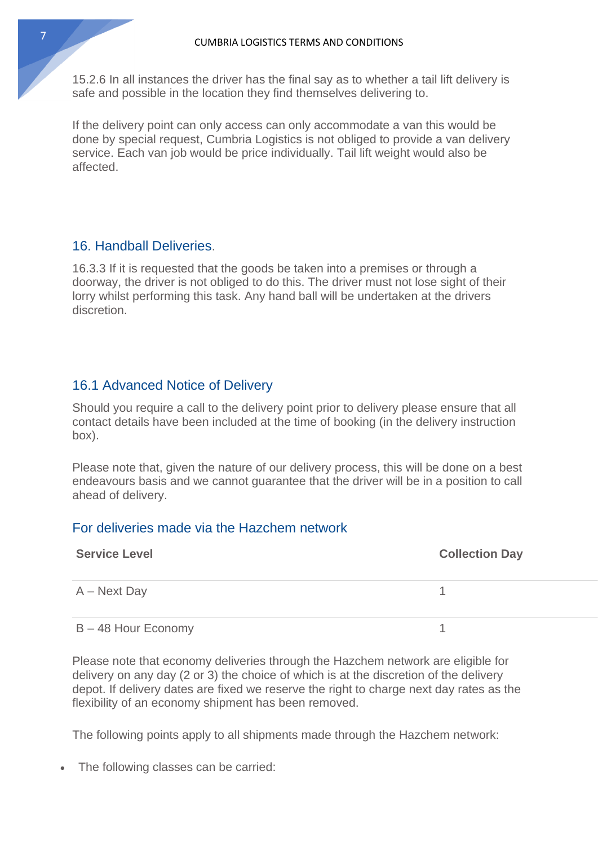15.2.6 In all instances the driver has the final say as to whether a tail lift delivery is safe and possible in the location they find themselves delivering to.

If the delivery point can only access can only accommodate a van this would be done by special request, Cumbria Logistics is not obliged to provide a van delivery service. Each van job would be price individually. Tail lift weight would also be affected.

#### 16. Handball Deliveries.

16.3.3 If it is requested that the goods be taken into a premises or through a doorway, the driver is not obliged to do this. The driver must not lose sight of their lorry whilst performing this task. Any hand ball will be undertaken at the drivers discretion.

#### 16.1 Advanced Notice of Delivery

Should you require a call to the delivery point prior to delivery please ensure that all contact details have been included at the time of booking (in the delivery instruction box).

Please note that, given the nature of our delivery process, this will be done on a best endeavours basis and we cannot guarantee that the driver will be in a position to call ahead of delivery.

#### For deliveries made via the Hazchem network

| <b>Service Level</b>  | <b>Collection Day</b> |
|-----------------------|-----------------------|
| $A - Next$ Day        |                       |
| $B - 48$ Hour Economy |                       |

Please note that economy deliveries through the Hazchem network are eligible for delivery on any day (2 or 3) the choice of which is at the discretion of the delivery depot. If delivery dates are fixed we reserve the right to charge next day rates as the flexibility of an economy shipment has been removed.

The following points apply to all shipments made through the Hazchem network:

• The following classes can be carried: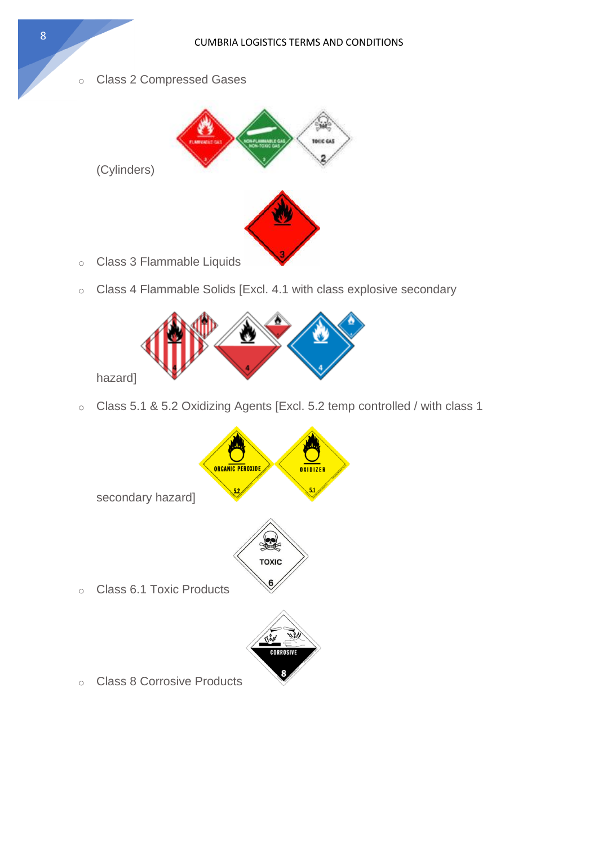o Class 2 Compressed Gases



- o Class 3 Flammable Liquids
- o Class 4 Flammable Solids [Excl. 4.1 with class explosive secondary



o Class 5.1 & 5.2 Oxidizing Agents [Excl. 5.2 temp controlled / with class 1

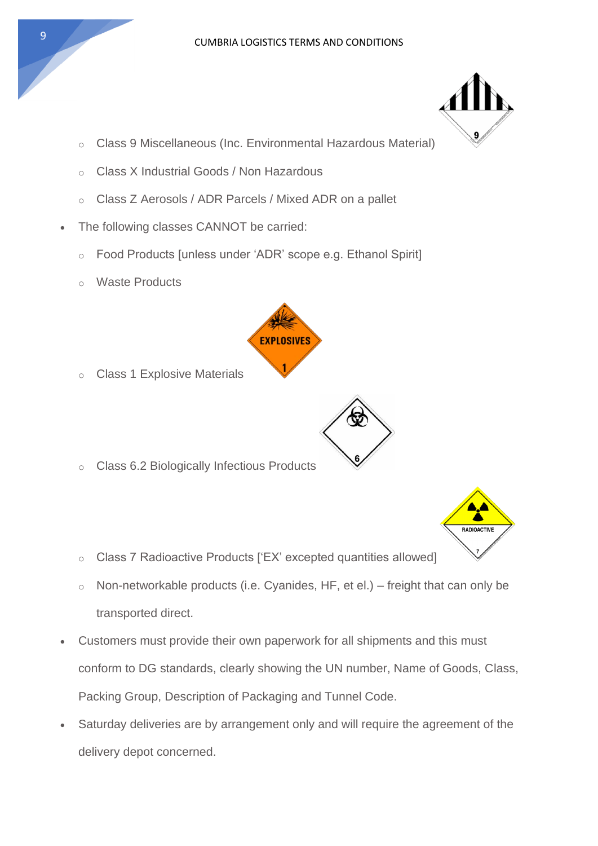- o Class 9 Miscellaneous (Inc. Environmental Hazardous Material)
- o Class X Industrial Goods / Non Hazardous
- o Class Z Aerosols / ADR Parcels / Mixed ADR on a pallet
- The following classes CANNOT be carried:
	- o Food Products [unless under 'ADR' scope e.g. Ethanol Spirit]
	- o Waste Products



- o Class 1 Explosive Materials
- o Class 6.2 Biologically Infectious Products



- o Class 7 Radioactive Products ['EX' excepted quantities allowed]
- $\circ$  Non-networkable products (i.e. Cyanides, HF, et el.) freight that can only be transported direct.
- Customers must provide their own paperwork for all shipments and this must conform to DG standards, clearly showing the UN number, Name of Goods, Class, Packing Group, Description of Packaging and Tunnel Code.
- Saturday deliveries are by arrangement only and will require the agreement of the delivery depot concerned.

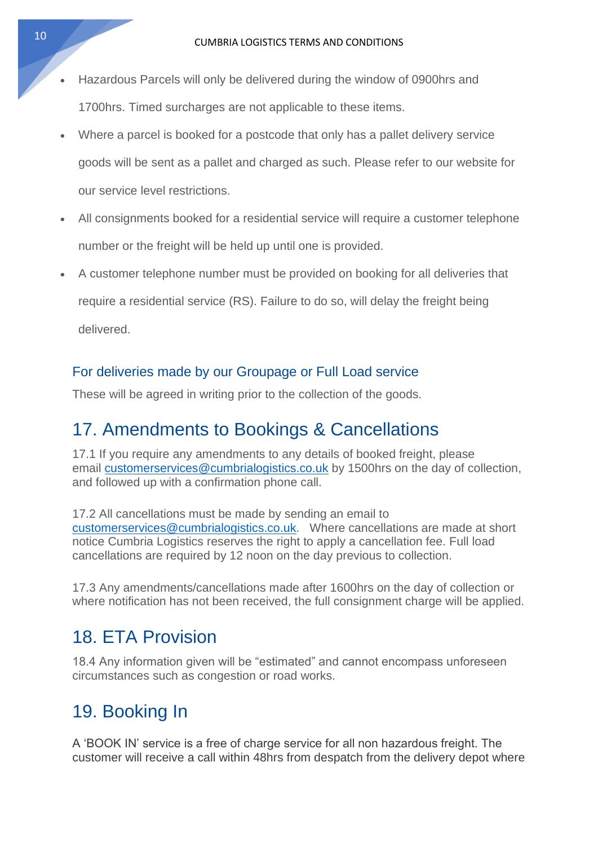- Hazardous Parcels will only be delivered during the window of 0900hrs and 1700hrs. Timed surcharges are not applicable to these items.
- Where a parcel is booked for a postcode that only has a pallet delivery service goods will be sent as a pallet and charged as such. Please refer to our website for our service level restrictions.
- All consignments booked for a residential service will require a customer telephone number or the freight will be held up until one is provided.
- A customer telephone number must be provided on booking for all deliveries that

require a residential service (RS). Failure to do so, will delay the freight being delivered.

#### For deliveries made by our Groupage or Full Load service

These will be agreed in writing prior to the collection of the goods.

### 17. Amendments to Bookings & Cancellations

17.1 If you require any amendments to any details of booked freight, please email [customerservices@cumbrialogistics.co.uk](mailto:customerservices@cumbrialogistics.co.uk) by 1500hrs on the day of collection, and followed up with a confirmation phone call.

17.2 All cancellations must be made by sending an email to [customerservices@cumbrialogistics.co.uk.](mailto:customerservices@cumbrialogistics.co.uk) Where cancellations are made at short notice Cumbria Logistics reserves the right to apply a cancellation fee. Full load cancellations are required by 12 noon on the day previous to collection.

17.3 Any amendments/cancellations made after 1600hrs on the day of collection or where notification has not been received, the full consignment charge will be applied.

### 18. ETA Provision

18.4 Any information given will be "estimated" and cannot encompass unforeseen circumstances such as congestion or road works.

# 19. Booking In

A 'BOOK IN' service is a free of charge service for all non hazardous freight. The customer will receive a call within 48hrs from despatch from the delivery depot where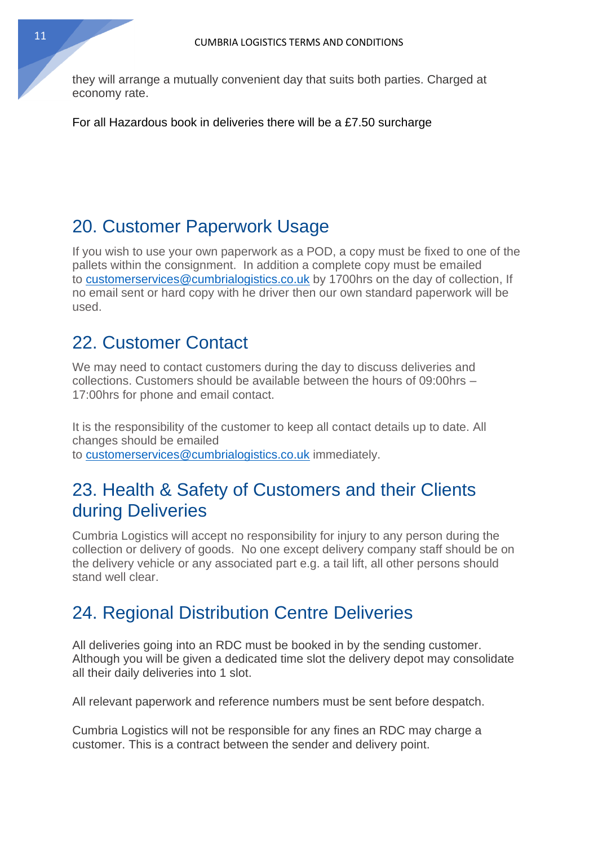they will arrange a mutually convenient day that suits both parties. Charged at economy rate.

For all Hazardous book in deliveries there will be a £7.50 surcharge

### 20. Customer Paperwork Usage

If you wish to use your own paperwork as a POD, a copy must be fixed to one of the pallets within the consignment. In addition a complete copy must be emailed to [customerservices@cumbrialogistics.co.uk](mailto:customerservices@cumbrialogistics.co.uk) by 1700hrs on the day of collection, If no email sent or hard copy with he driver then our own standard paperwork will be used.

### 22. Customer Contact

We may need to contact customers during the day to discuss deliveries and collections. Customers should be available between the hours of 09:00hrs – 17:00hrs for phone and email contact.

It is the responsibility of the customer to keep all contact details up to date. All changes should be emailed to [customerservices@cumbrialogistics.co.uk](mailto:customerservices@cumbrialogistics.co.uk) immediately.

### 23. Health & Safety of Customers and their Clients during Deliveries

Cumbria Logistics will accept no responsibility for injury to any person during the collection or delivery of goods. No one except delivery company staff should be on the delivery vehicle or any associated part e.g. a tail lift, all other persons should stand well clear.

### 24. Regional Distribution Centre Deliveries

All deliveries going into an RDC must be booked in by the sending customer. Although you will be given a dedicated time slot the delivery depot may consolidate all their daily deliveries into 1 slot.

All relevant paperwork and reference numbers must be sent before despatch.

Cumbria Logistics will not be responsible for any fines an RDC may charge a customer. This is a contract between the sender and delivery point.